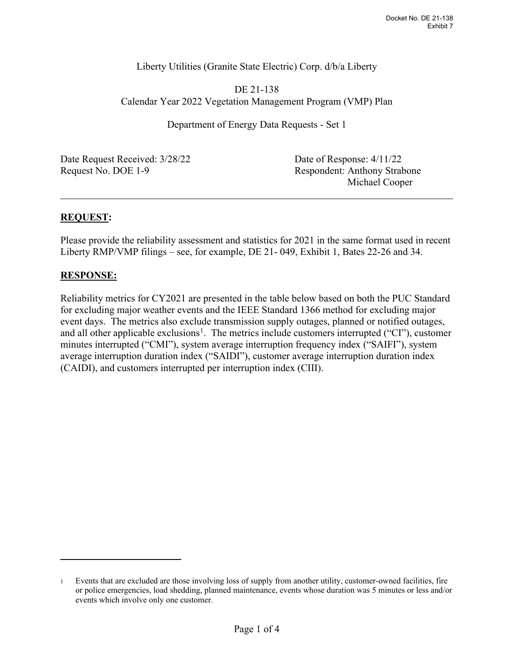## Liberty Utilities (Granite State Electric) Corp. d/b/a Liberty

DE 21-138 Calendar Year 2022 Vegetation Management Program (VMP) Plan

Department of Energy Data Requests - Set 1

Date Request Received:  $3/28/22$  Date of Response:  $4/11/22$ Request No. DOE 1-9 Respondent: Anthony Strabone

Michael Cooper

## **REQUEST:**

Please provide the reliability assessment and statistics for 2021 in the same format used in recent Liberty RMP/VMP filings – see, for example, DE 21- 049, Exhibit 1, Bates 22-26 and 34.

## **RESPONSE:**

Reliability metrics for CY2021 are presented in the table below based on both the PUC Standard for excluding major weather events and the IEEE Standard 1366 method for excluding major event days. The metrics also exclude transmission supply outages, planned or notified outages, and all other applicable exclusions<sup>[1](#page-0-0)</sup>. The metrics include customers interrupted ("CI"), customer minutes interrupted ("CMI"), system average interruption frequency index ("SAIFI"), system average interruption duration index ("SAIDI"), customer average interruption duration index (CAIDI), and customers interrupted per interruption index (CIII).

<span id="page-0-0"></span><sup>1</sup> Events that are excluded are those involving loss of supply from another utility, customer-owned facilities, fire or police emergencies, load shedding, planned maintenance, events whose duration was 5 minutes or less and/or events which involve only one customer.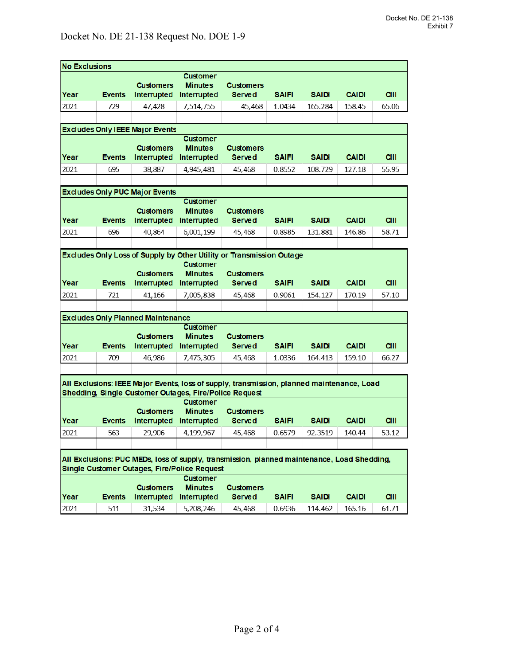| <b>No Exclusions</b>                                                                        |               |                  |                                   |                                   |              |              |              |             |
|---------------------------------------------------------------------------------------------|---------------|------------------|-----------------------------------|-----------------------------------|--------------|--------------|--------------|-------------|
|                                                                                             |               |                  | <b>Customer</b>                   |                                   |              |              |              |             |
|                                                                                             |               | <b>Customers</b> | <b>Minutes</b>                    | <b>Customers</b>                  |              |              |              |             |
| Year                                                                                        | <b>Events</b> | Interrupted      | Interrupted                       | Served                            | <b>SAIFI</b> | <b>SAIDI</b> | <b>CAIDI</b> | <b>CIII</b> |
| 2021                                                                                        | 729           | 47,428           | 7,514,755                         | 45,468                            | 1.0434       | 165.284      | 158.45       | 65.06       |
|                                                                                             |               |                  |                                   |                                   |              |              |              |             |
| <b>Excludes Only IEEE Major Events</b>                                                      |               |                  |                                   |                                   |              |              |              |             |
|                                                                                             |               | <b>Customers</b> | Customer<br><b>Minutes</b>        | <b>Customers</b>                  |              |              |              |             |
| Year                                                                                        | <b>Events</b> | Interrupted      | Interrupted                       | <b>Served</b>                     | <b>SAIFI</b> | <b>SAIDI</b> | <b>CAIDI</b> | <b>CIII</b> |
| 2021                                                                                        | 695           | 38,887           | 4,945,481                         | 45.468                            | 0.8552       | 108.729      | 127.18       | 55.95       |
|                                                                                             |               |                  |                                   |                                   |              |              |              |             |
| <b>Excludes Only PUC Major Events</b>                                                       |               |                  |                                   |                                   |              |              |              |             |
|                                                                                             |               |                  | <b>Customer</b>                   |                                   |              |              |              |             |
|                                                                                             |               | <b>Customers</b> | <b>Minutes</b>                    | <b>Customers</b>                  |              |              |              |             |
| Year                                                                                        | <b>Events</b> | Interrupted      | Interrupted                       | <b>Served</b>                     | <b>SAIFI</b> | <b>SAIDI</b> | <b>CAIDI</b> | <b>CIII</b> |
| 2021                                                                                        | 696           | 40.864           | 6,001,199                         | 45,468                            | 0.8985       | 131.881      | 146.86       | 58.71       |
|                                                                                             |               |                  |                                   |                                   |              |              |              |             |
| Excludes Only Loss of Supply by Other Utility or Transmission Outage                        |               |                  |                                   |                                   |              |              |              |             |
|                                                                                             |               | <b>Customers</b> | <b>Customer</b><br><b>Minutes</b> | <b>Customers</b>                  |              |              |              |             |
| Year                                                                                        | <b>Events</b> | Interrupted      | Interrupted                       | <b>Served</b>                     | <b>SAIFI</b> | <b>SAIDI</b> | <b>CAIDI</b> | <b>CIII</b> |
| 2021                                                                                        | 721           | 41,166           | 7,005,838                         | 45,468                            | 0.9061       | 154.127      | 170.19       | 57.10       |
|                                                                                             |               |                  |                                   |                                   |              |              |              |             |
| <b>Excludes Only Planned Maintenance</b>                                                    |               |                  |                                   |                                   |              |              |              |             |
| <b>Customer</b>                                                                             |               |                  |                                   |                                   |              |              |              |             |
|                                                                                             |               | <b>Customers</b> | <b>Minutes</b>                    | <b>Customers</b>                  |              |              |              |             |
| Year                                                                                        | <b>Events</b> | Interrupted      | Interrupted                       | <b>Served</b>                     | <b>SAIFI</b> | <b>SAIDI</b> | <b>CAIDI</b> | <b>CIII</b> |
| 2021                                                                                        | 709           | 46,986           | 7,475,305                         | 45,468                            | 1.0336       | 164.413      | 159.10       | 66.27       |
|                                                                                             |               |                  |                                   |                                   |              |              |              |             |
| All Exclusions: IEEE Major Events, loss of supply, transmission, planned maintenance, Load  |               |                  |                                   |                                   |              |              |              |             |
| Shedding, Single Customer Outages, Fire/Police Request                                      |               |                  |                                   |                                   |              |              |              |             |
|                                                                                             |               | <b>Customers</b> | <b>Customer</b>                   |                                   |              |              |              |             |
| Year                                                                                        | <b>Events</b> | Interrupted      | <b>Minutes</b><br>Interrupted     | <b>Customers</b><br><b>Served</b> | <b>SAIFI</b> | <b>SAIDI</b> | <b>CAIDI</b> | <b>CIII</b> |
| 2021                                                                                        | 563           | 29,906           | 4,199,967                         | 45,468                            | 0.6579       | 92.3519      | 140.44       | 53.12       |
|                                                                                             |               |                  |                                   |                                   |              |              |              |             |
|                                                                                             |               |                  |                                   |                                   |              |              |              |             |
| All Exclusions: PUC MEDs, loss of supply, transmission, planned maintenance, Load Shedding, |               |                  |                                   |                                   |              |              |              |             |
| Single Customer Outages, Fire/Police Request<br><b>Customer</b>                             |               |                  |                                   |                                   |              |              |              |             |
|                                                                                             |               | <b>Customers</b> | <b>Minutes</b>                    | <b>Customers</b>                  |              |              |              |             |
| Year                                                                                        | <b>Events</b> | Interrupted      | Interrupted                       | <b>Served</b>                     | <b>SAIFI</b> | <b>SAIDI</b> | <b>CAIDI</b> | <b>CIII</b> |
| 2021                                                                                        | 511           | 31,534           | 5,208,246                         | 45,468                            | 0.6936       | 114.462      | 165.16       | 61.71       |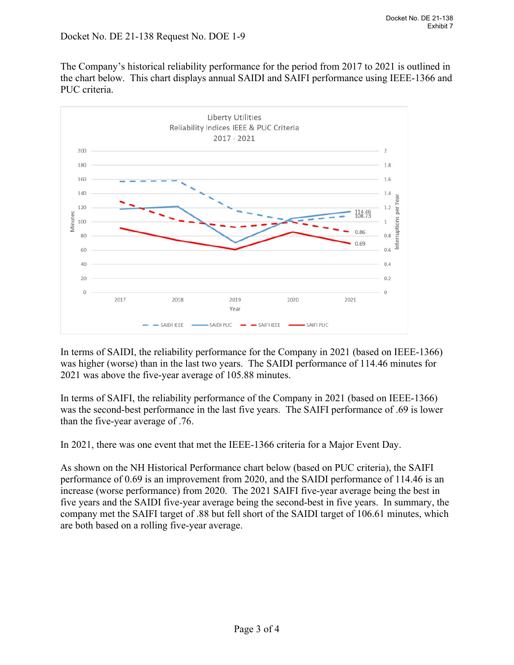The Company's historical reliability performance for the period from 2017 to 2021 is outlined in the chart below. This chart displays annual SAIDI and SAIFI performance using IEEE-1366 and PUC criteria.



In terms of SAIDI, the reliability performance for the Company in 2021 (based on IEEE-1366) was higher (worse) than in the last two years. The SAIDI performance of 114.46 minutes for 2021 was above the five-year average of 105.88 minutes.

In terms of SAIFI, the reliability performance of the Company in 2021 (based on IEEE-1366) was the second-best performance in the last five years. The SAIFI performance of .69 is lower than the five-year average of .76.

In 2021, there was one event that met the IEEE-1366 criteria for a Major Event Day.

As shown on the NH Historical Performance chart below (based on PUC criteria), the SAIFI performance of 0.69 is an improvement from 2020, and the SAIDI performance of 114.46 is an increase (worse performance) from 2020. The 2021 SAIFI five-year average being the best in five years and the SAIDI five-year average being the second-best in five years. In summary, the company met the SAIFI target of .88 but fell short of the SAIDI target of 106.61 minutes, which are both based on a rolling five-year average.